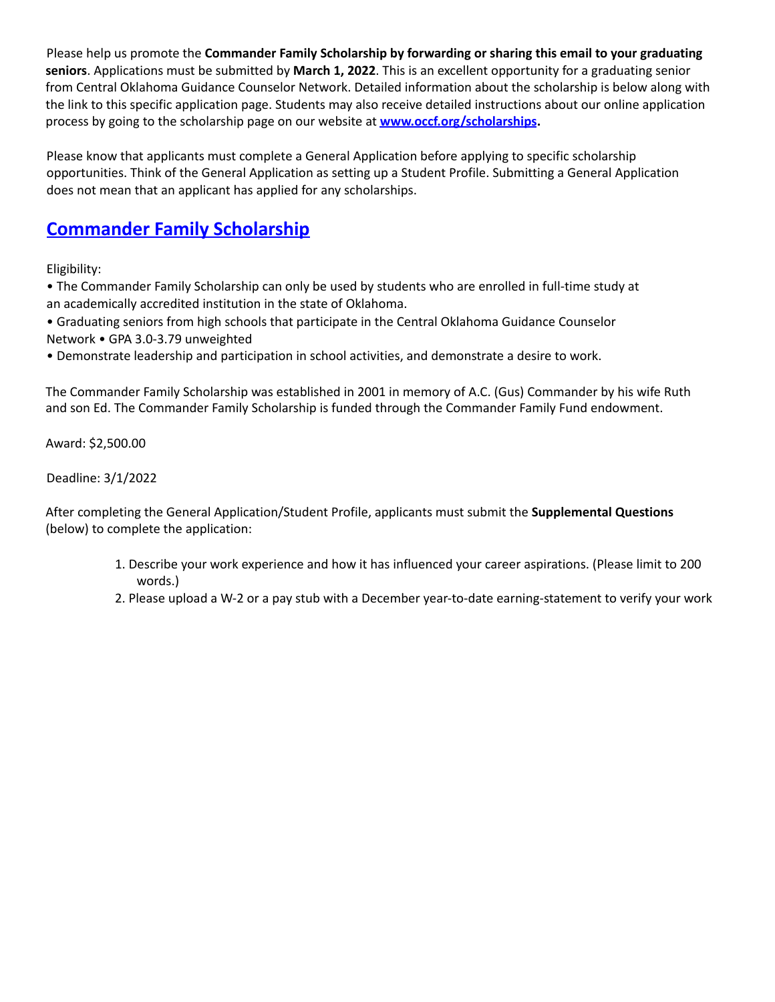Please help us promote the **Commander Family Scholarship by forwarding or sharing this email to your graduating seniors**. Applications must be submitted by **March 1, 2022**. This is an excellent opportunity for a graduating senior from Central Oklahoma Guidance Counselor Network. Detailed information about the scholarship is below along with the link to this specific application page. Students may also receive detailed instructions about our online application process by going to the scholarship page on our website at **www.occf.org/scholarships.**

Please know that applicants must complete a General Application before applying to specific scholarship opportunities. Think of the General Application as setting up a Student Profile. Submitting a General Application does not mean that an applicant has applied for any scholarships.

## **Commander Family Scholarship**

Eligibility:

• The Commander Family Scholarship can only be used by students who are enrolled in full-time study at an academically accredited institution in the state of Oklahoma.

- Graduating seniors from high schools that participate in the Central Oklahoma Guidance Counselor Network • GPA 3.0-3.79 unweighted
- Demonstrate leadership and participation in school activities, and demonstrate a desire to work.

The Commander Family Scholarship was established in 2001 in memory of A.C. (Gus) Commander by his wife Ruth and son Ed. The Commander Family Scholarship is funded through the Commander Family Fund endowment.

Award: \$2,500.00

Deadline: 3/1/2022

After completing the General Application/Student Profile, applicants must submit the **Supplemental Questions** (below) to complete the application:

- 1. Describe your work experience and how it has influenced your career aspirations. (Please limit to 200 words.)
- 2. Please upload a W-2 or a pay stub with a December year-to-date earning-statement to verify your work